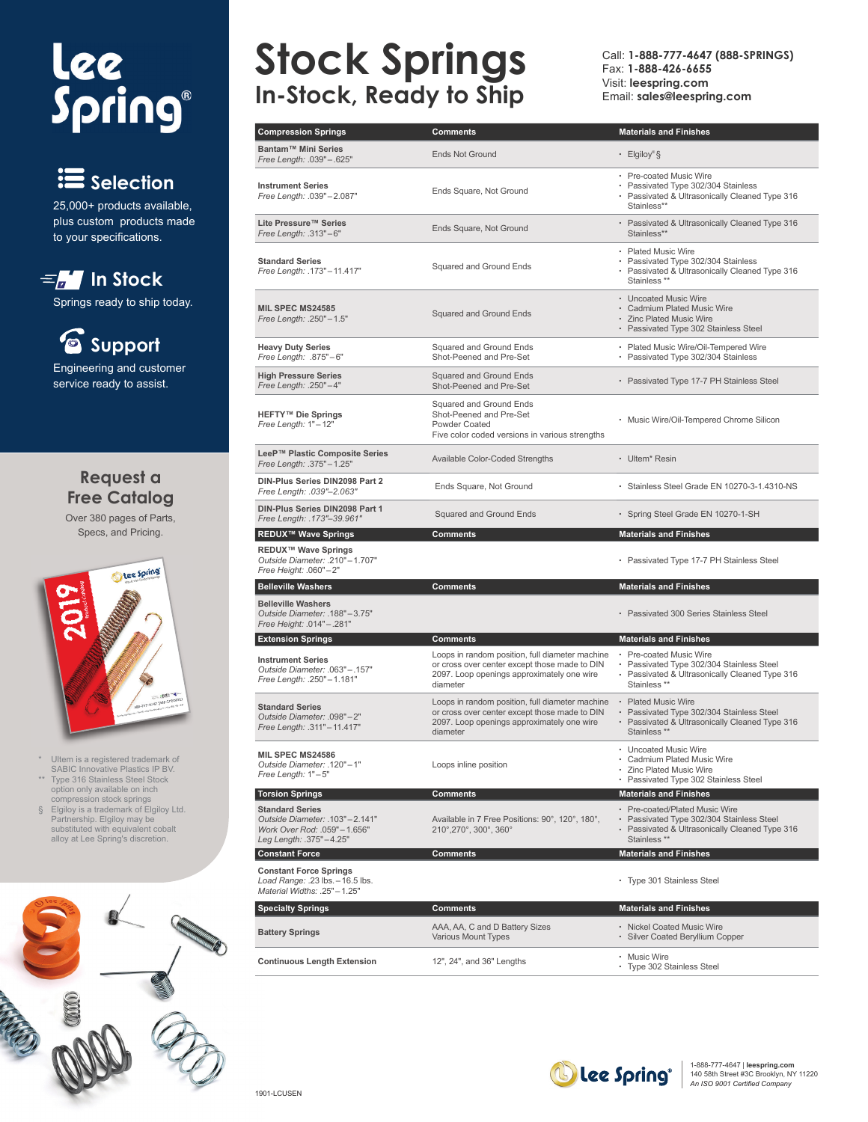# lee<br>Spring®

# **Selection**

25,000+ products available, plus custom products made to your specifications.

# $\equiv$   $\frac{1}{2}$  In Stock

Springs ready to ship today.

## **Support** Engineering and customer

service ready to assist.

### **Request a Free Catalog**

Over 380 pages of Parts, Specs, and Pricing.



- \* Ultem is a registered trademark of SABIC Innovative Plastics IP BV.
- \*\* Type 316 Stainless Steel Stock option only available on inch compression stock springs
- § Elgiloy is a trademark of Elgiloy Ltd. Partnership. Elgiloy may be substituted with equivalent cobalt alloy at Lee Spring's discretion.



# **Stock Springs In-Stock, Ready to Ship**

Call: **1-888-777-4647 (888-SPRINGS)** Fax: **1-888-426-6655** Visit: **leespring.com** Email: **sales@leespring.com**

| <b>Compression Springs</b>                                                                                         | <b>Comments</b>                                                                                                                                            | <b>Materials and Finishes</b>                                                                                                                     |
|--------------------------------------------------------------------------------------------------------------------|------------------------------------------------------------------------------------------------------------------------------------------------------------|---------------------------------------------------------------------------------------------------------------------------------------------------|
| Bantam™ Mini Series<br>Free Length: .039" - .625"                                                                  | <b>Ends Not Ground</b>                                                                                                                                     | $\cdot$ Elgiloy <sup>®</sup> §                                                                                                                    |
| <b>Instrument Series</b><br>Free Length: .039"-2.087"                                                              | Ends Square, Not Ground                                                                                                                                    | • Pre-coated Music Wire<br>• Passivated Type 302/304 Stainless<br>• Passivated & Ultrasonically Cleaned Type 316<br>Stainless**                   |
| Lite Pressure™ Series<br>Free Length: .313"-6"                                                                     | Ends Square, Not Ground                                                                                                                                    | • Passivated & Ultrasonically Cleaned Type 316<br>Stainless**                                                                                     |
| <b>Standard Series</b><br>Free Length: .173" - 11.417"                                                             | Squared and Ground Ends                                                                                                                                    | • Plated Music Wire<br>• Passivated Type 302/304 Stainless<br>· Passivated & Ultrasonically Cleaned Type 316<br>Stainless **                      |
| MIL SPEC MS24585<br>Free Length: .250"-1.5"                                                                        | <b>Squared and Ground Ends</b>                                                                                                                             | • Uncoated Music Wire<br>• Cadmium Plated Music Wire<br>• Zinc Plated Music Wire<br>• Passivated Type 302 Stainless Steel                         |
| <b>Heavy Duty Series</b><br>Free Length: .875"-6"                                                                  | Squared and Ground Ends<br>Shot-Peened and Pre-Set                                                                                                         | • Plated Music Wire/Oil-Tempered Wire<br>• Passivated Type 302/304 Stainless                                                                      |
| <b>High Pressure Series</b><br>Free Length: .250"-4"                                                               | <b>Squared and Ground Ends</b><br>Shot-Peened and Pre-Set                                                                                                  | • Passivated Type 17-7 PH Stainless Steel                                                                                                         |
| <b>HEFTY™ Die Springs</b><br>Free Length: 1"-12"                                                                   | Squared and Ground Ends<br>Shot-Peened and Pre-Set<br>Powder Coated<br>Five color coded versions in various strengths                                      | • Music Wire/Oil-Tempered Chrome Silicon                                                                                                          |
| LeeP™ Plastic Composite Series<br>Free Length: .375" - 1.25"                                                       | Available Color-Coded Strengths                                                                                                                            | • Ultem <sup>*</sup> Resin                                                                                                                        |
| DIN-Plus Series DIN2098 Part 2<br>Free Length: .039"-2.063"                                                        | Ends Square, Not Ground                                                                                                                                    | · Stainless Steel Grade EN 10270-3-1.4310-NS                                                                                                      |
| DIN-Plus Series DIN2098 Part 1<br>Free Length: .173"-39.961"                                                       | Squared and Ground Ends                                                                                                                                    | • Spring Steel Grade EN 10270-1-SH                                                                                                                |
| <b>REDUX™ Wave Springs</b>                                                                                         | Comments                                                                                                                                                   | <b>Materials and Finishes</b>                                                                                                                     |
| <b>REDUX™ Wave Springs</b><br>Outside Diameter: .210"-1.707"<br>Free Height: .060"-2"                              |                                                                                                                                                            | • Passivated Type 17-7 PH Stainless Steel                                                                                                         |
| <b>Belleville Washers</b>                                                                                          | <b>Comments</b>                                                                                                                                            | <b>Materials and Finishes</b>                                                                                                                     |
| <b>Belleville Washers</b><br>Outside Diameter: .188"-3.75"<br>Free Height: .014" - .281"                           |                                                                                                                                                            | · Passivated 300 Series Stainless Steel                                                                                                           |
| <b>Extension Springs</b>                                                                                           | <b>Comments</b>                                                                                                                                            | <b>Materials and Finishes</b>                                                                                                                     |
| <b>Instrument Series</b><br>Outside Diameter: .063"-.157"<br>Free Length: .250"-1.181"                             | Loops in random position, full diameter machine<br>or cross over center except those made to DIN<br>2097. Loop openings approximately one wire<br>diameter | • Pre-coated Music Wire<br>• Passivated Type 302/304 Stainless Steel<br>• Passivated & Ultrasonically Cleaned Type 316<br>Stainless <sup>**</sup> |
| <b>Standard Series</b><br>Outside Diameter: .098"-2"<br>Free Length: .311" - 11.417"                               | Loops in random position, full diameter machine<br>or cross over center except those made to DIN<br>2097. Loop openings approximately one wire<br>diameter | • Plated Music Wire<br>Passivated Type 302/304 Stainless Steel<br>• Passivated & Ultrasonically Cleaned Type 316<br>Stainless <sup>**</sup>       |
| <b>MIL SPEC MS24586</b><br>Outside Diameter: .120"-1"<br>Free Length: 1"-5"                                        | Loops inline position                                                                                                                                      | • Uncoated Music Wire<br>• Cadmium Plated Music Wire<br><b>Zinc Plated Music Wire</b><br>• Passivated Type 302 Stainless Steel                    |
| <b>Torsion Springs</b>                                                                                             | <b>Comments</b>                                                                                                                                            | <b>Materials and Finishes</b>                                                                                                                     |
| <b>Standard Series</b><br>Outside Diameter: .103"-2.141"<br>Work Over Rod: .059"-1.656"<br>Leg Length: .375"-4.25" | Available in 7 Free Positions: 90°, 120°, 180°,<br>210°, 270°, 300°, 360°                                                                                  | • Pre-coated/Plated Music Wire<br>• Passivated Type 302/304 Stainless Steel<br>• Passivated & Ultrasonically Cleaned Type 316<br>Stainless **     |
| <b>Constant Force</b>                                                                                              | Comments                                                                                                                                                   | <b>Materials and Finishes</b>                                                                                                                     |
| <b>Constant Force Springs</b><br>Load Range: .23 lbs. - 16.5 lbs.<br>Material Widths: .25"-1.25"                   |                                                                                                                                                            | • Type 301 Stainless Steel                                                                                                                        |
| <b>Specialty Springs</b>                                                                                           | <b>Comments</b>                                                                                                                                            | <b>Materials and Finishes</b>                                                                                                                     |
| <b>Battery Springs</b>                                                                                             | AAA, AA, C and D Battery Sizes<br>Various Mount Types                                                                                                      | • Nickel Coated Music Wire<br>• Silver Coated Beryllium Copper                                                                                    |
| <b>Continuous Length Extension</b>                                                                                 | 12", 24", and 36" Lengths                                                                                                                                  | • Music Wire                                                                                                                                      |



• Type 302 Stainless Steel